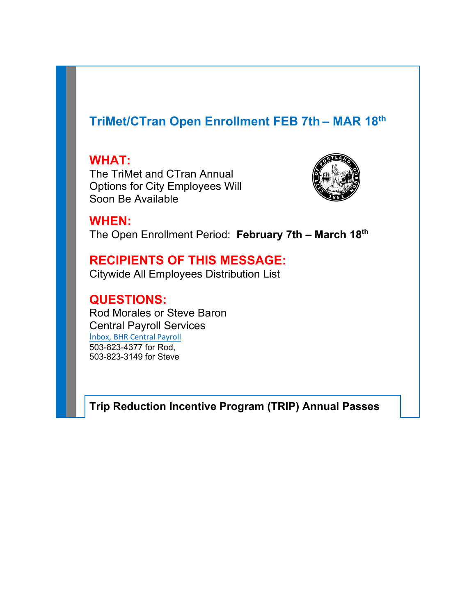# **TriMet/CTran Open Enrollment FEB 7th – MAR 18th**

**WHAT:** The TriMet and CTran Annual Options for City Employees Will Soon Be Available



**WHEN:** The Open Enrollment Period: **February 7th – March 18th**

## **RECIPIENTS OF THIS MESSAGE:**

Citywide All Employees Distribution List

**QUESTIONS:** Rod Morales or Steve Baron Central Payroll Services [I](mailto:Ziyuan.zhao@portlandoregon.gov)[nbox,](mailto:Ziyuan.zhao@portlandoregon.gov) BHR Central Payroll 503-823-4377 for Rod, 503-823-3149 for Steve

**Trip Reduction Incentive Program (TRIP) Annual Passes**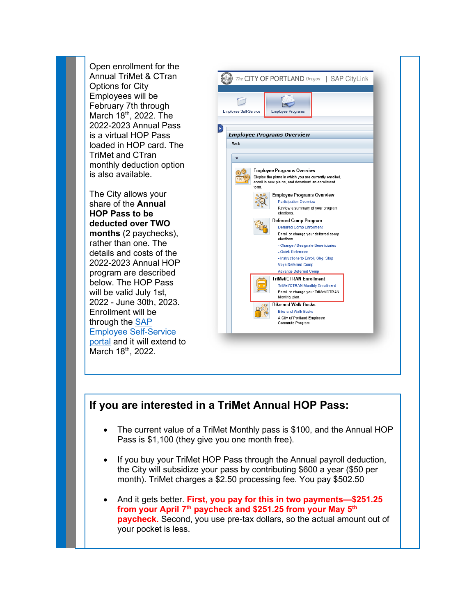Open enrollment for the Annual TriMet & CTran Options for City Employees will be February 7th through March 18<sup>th</sup>, 2022. The 2022-2023 Annual Pass is a virtual HOP Pass loaded in HOP card. The TriMet and CTran monthly deduction option is also available.

The City allows your share of the **Annual HOP Pass to be deducted over TWO months** (2 paychecks), rather than one. The details and costs of the 2022-2023 Annual HOP program are described below. The HOP Pass will be valid July 1st, 2022 - June 30th, 2023. Enrollment will be through the [SAP](https://www.portlandoregon.gov/employee/50542)  [Employee Self-Service](https://www.portlandoregon.gov/employee/50542)  [portal](https://www.portlandoregon.gov/employee/50542) and it will extend to March 18th, 2022.



## **If you are interested in a TriMet Annual HOP Pass:**

- The current value of a TriMet Monthly pass is \$100, and the Annual HOP Pass is \$1,100 (they give you one month free).
- If you buy your TriMet HOP Pass through the Annual payroll deduction, the City will subsidize your pass by contributing \$600 a year (\$50 per month). TriMet charges a \$2.50 processing fee. You pay \$502.50
- And it gets better. **First, you pay for this in two payments—\$251.25 from your April 7th paycheck and \$251.25 from your May 5th paycheck.** Second, you use pre-tax dollars, so the actual amount out of your pocket is less.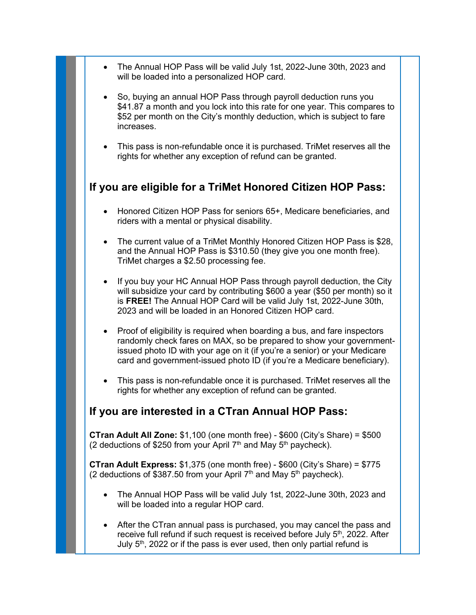- The Annual HOP Pass will be valid July 1st, 2022-June 30th, 2023 and will be loaded into a personalized HOP card.
- So, buying an annual HOP Pass through payroll deduction runs you \$41.87 a month and you lock into this rate for one year. This compares to \$52 per month on the City's monthly deduction, which is subject to fare increases.
- This pass is non-refundable once it is purchased. TriMet reserves all the rights for whether any exception of refund can be granted.

### **If you are eligible for a TriMet Honored Citizen HOP Pass:**

- Honored Citizen HOP Pass for seniors 65+, Medicare beneficiaries, and riders with a mental or physical disability.
- The current value of a TriMet Monthly Honored Citizen HOP Pass is \$28, and the Annual HOP Pass is \$310.50 (they give you one month free). TriMet charges a \$2.50 processing fee.
- If you buy your HC Annual HOP Pass through payroll deduction, the City will subsidize your card by contributing \$600 a year (\$50 per month) so it is **FREE!** The Annual HOP Card will be valid July 1st, 2022-June 30th, 2023 and will be loaded in an Honored Citizen HOP card.
- Proof of eligibility is required when boarding a bus, and fare inspectors randomly check fares on MAX, so be prepared to show your governmentissued photo ID with your age on it (if you're a senior) or your Medicare card and government-issued photo ID (if you're a Medicare beneficiary).
- This pass is non-refundable once it is purchased. TriMet reserves all the rights for whether any exception of refund can be granted.

#### **If you are interested in a CTran Annual HOP Pass:**

**CTran Adult All Zone:** \$1,100 (one month free) - \$600 (City's Share) = \$500 (2 deductions of \$250 from your April  $7<sup>th</sup>$  and May  $5<sup>th</sup>$  paycheck).

**CTran Adult Express:** \$1,375 (one month free) - \$600 (City's Share) = \$775 (2 deductions of \$387.50 from your April  $7<sup>th</sup>$  and May  $5<sup>th</sup>$  paycheck).

- The Annual HOP Pass will be valid July 1st, 2022-June 30th, 2023 and will be loaded into a regular HOP card.
- After the CTran annual pass is purchased, you may cancel the pass and receive full refund if such request is received before July 5<sup>th</sup>, 2022. After July  $5<sup>th</sup>$ , 2022 or if the pass is ever used, then only partial refund is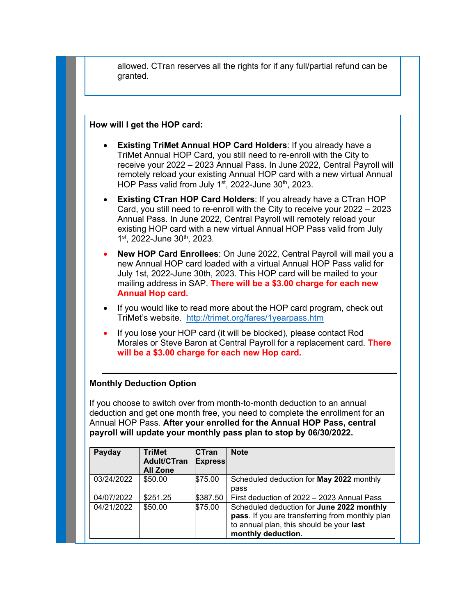|                          | How will I get the HOP card:        |                                | <b>Existing TriMet Annual HOP Card Holders: If you already have a</b><br>TriMet Annual HOP Card, you still need to re-enroll with the City to<br>receive your 2022 - 2023 Annual Pass. In June 2022, Central Payroll will                                                                              |
|--------------------------|-------------------------------------|--------------------------------|--------------------------------------------------------------------------------------------------------------------------------------------------------------------------------------------------------------------------------------------------------------------------------------------------------|
|                          |                                     |                                | remotely reload your existing Annual HOP card with a new virtual Annual<br>HOP Pass valid from July 1 <sup>st</sup> , 2022-June 30 <sup>th</sup> , 2023.                                                                                                                                               |
|                          | 1st, 2022-June 30th, 2023.          |                                | <b>Existing CTran HOP Card Holders: If you already have a CTran HOP</b><br>Card, you still need to re-enroll with the City to receive your 2022 - 2023<br>Annual Pass. In June 2022, Central Payroll will remotely reload your<br>existing HOP card with a new virtual Annual HOP Pass valid from July |
|                          | <b>Annual Hop card.</b>             |                                | New HOP Card Enrollees: On June 2022, Central Payroll will mail you a<br>new Annual HOP card loaded with a virtual Annual HOP Pass valid for<br>July 1st, 2022-June 30th, 2023. This HOP card will be mailed to your<br>mailing address in SAP. There will be a \$3.00 charge for each new             |
| $\bullet$                |                                     |                                | If you would like to read more about the HOP card program, check out<br>TriMet's website. http://trimet.org/fares/1yearpass.htm                                                                                                                                                                        |
|                          |                                     |                                | If you lose your HOP card (it will be blocked), please contact Rod<br>Morales or Steve Baron at Central Payroll for a replacement card. There<br>will be a \$3.00 charge for each new Hop card.                                                                                                        |
|                          | <b>Monthly Deduction Option</b>     |                                |                                                                                                                                                                                                                                                                                                        |
|                          |                                     |                                | If you choose to switch over from month-to-month deduction to an annual                                                                                                                                                                                                                                |
|                          |                                     |                                | deduction and get one month free, you need to complete the enrollment for an<br>Annual HOP Pass. After your enrolled for the Annual HOP Pass, central                                                                                                                                                  |
|                          |                                     |                                | payroll will update your monthly pass plan to stop by 06/30/2022.                                                                                                                                                                                                                                      |
| Payday                   | <b>TriMet</b><br><b>Adult/CTran</b> | <b>CTran</b><br><b>Express</b> | <b>Note</b>                                                                                                                                                                                                                                                                                            |
|                          | <b>All Zone</b>                     |                                |                                                                                                                                                                                                                                                                                                        |
|                          |                                     |                                |                                                                                                                                                                                                                                                                                                        |
| 03/24/2022               | \$50.00                             | \$75.00                        | Scheduled deduction for May 2022 monthly<br>pass                                                                                                                                                                                                                                                       |
| 04/07/2022<br>04/21/2022 | \$251.25<br>\$50.00                 | \$387.50<br>\$75.00            | First deduction of 2022 - 2023 Annual Pass<br>Scheduled deduction for June 2022 monthly                                                                                                                                                                                                                |

**pass**. If you are transferring from monthly plan

to annual plan, this should be your **last** 

**monthly deduction.**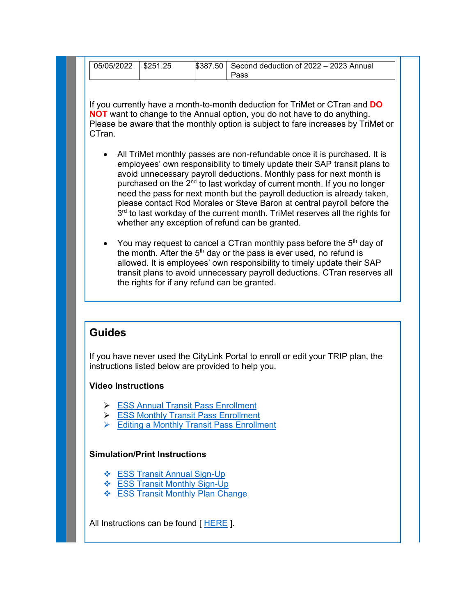| 05/05/2022 | $\frac{1}{2}$ \$251.25 | $$387.50$ Second deduction of 2022 - 2023 Annual |  |
|------------|------------------------|--------------------------------------------------|--|
|            |                        |                                                  |  |
|            |                        | Pass                                             |  |
|            |                        |                                                  |  |

If you currently have a month-to-month deduction for TriMet or CTran and **DO NOT** want to change to the Annual option, you do not have to do anything. Please be aware that the monthly option is subject to fare increases by TriMet or CTran.

- All TriMet monthly passes are non-refundable once it is purchased. It is employees' own responsibility to timely update their SAP transit plans to avoid unnecessary payroll deductions. Monthly pass for next month is purchased on the  $2<sup>nd</sup>$  to last workday of current month. If you no longer need the pass for next month but the payroll deduction is already taken, please contact Rod Morales or Steve Baron at central payroll before the 3<sup>rd</sup> to last workday of the current month. TriMet reserves all the rights for whether any exception of refund can be granted.
- You may request to cancel a CTran monthly pass before the 5<sup>th</sup> day of the month. After the  $5<sup>th</sup>$  day or the pass is ever used, no refund is allowed. It is employees' own responsibility to timely update their SAP transit plans to avoid unnecessary payroll deductions. CTran reserves all the rights for if any refund can be granted.

#### **Guides**

If you have never used the CityLink Portal to enroll or edit your TRIP plan, the instructions listed below are provided to help you.

#### **Video Instructions**

- **► [ESS Annual Transit Pass Enrollment](https://up.portlandoregon.gov/ucontent/8493ab9bf5b74bac958e97d97b3b7702_en-US/video/mp4/index.mp4)**
- **[ESS Monthly Transit Pass Enrollment](https://up.portlandoregon.gov/ucontent/97c13403f4f344e995d6f6a5083e7708_en-US/video/mp4/index.mp4)**
- **[Editing a Monthly Transit Pass Enrollment](https://up.portlandoregon.gov/ucontent/23f698b6ab734dd99955299182509388_en-US/video/mp4/index.mp4)**

#### **Simulation/Print Instructions**

- **❖ [ESS Transit Annual Sign-Up](https://up.portlandoregon.gov/gm/folder-1.11.23645?mode=EU%5bshowAll%5d&originalContext=1.11.6677)**
- **❖** [ESS Transit Monthly Sign-Up](https://up.portlandoregon.gov/gm/folder-1.11.23593?mode=EU%5bshowAll%5d&originalContext=1.11.6677)
- **❖ [ESS Transit Monthly Plan](https://up.portlandoregon.gov/gm/folder-1.11.23658?mode=EU%5bshowAll%5d&originalContext=1.11.6677) Change**

All Instructions can be found [HERE ].